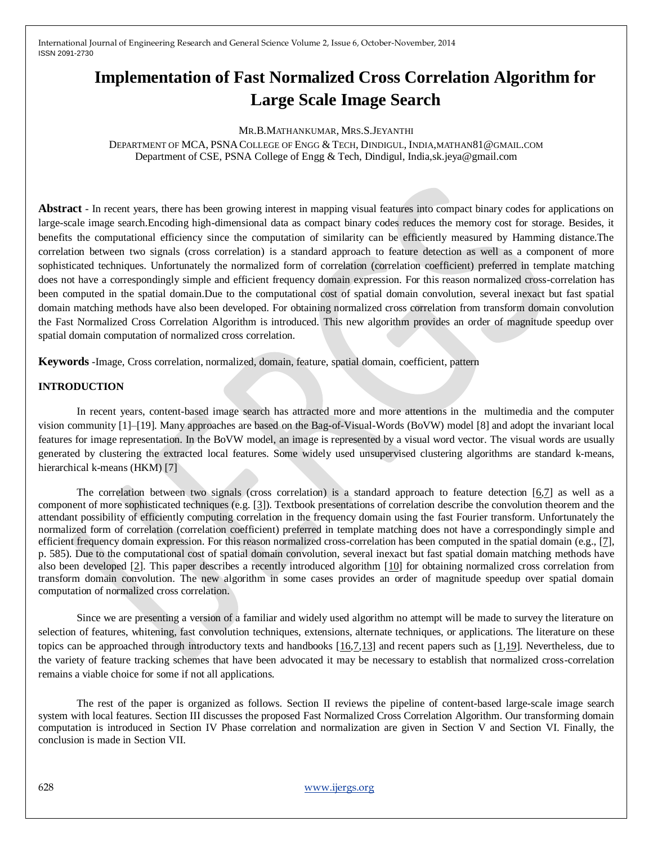# **Implementation of Fast Normalized Cross Correlation Algorithm for Large Scale Image Search**

#### MR.B.MATHANKUMAR, MRS.S.JEYANTHI

DEPARTMENT OF MCA, PSNACOLLEGE OF ENGG & TECH, DINDIGUL, INDIA,MATHAN81@GMAIL.COM Department of CSE, PSNA College of Engg & Tech, Dindigul, India,sk.jeya@gmail.com

**Abstract** - In recent years, there has been growing interest in mapping visual features into compact binary codes for applications on large-scale image search.Encoding high-dimensional data as compact binary codes reduces the memory cost for storage. Besides, it benefits the computational efficiency since the computation of similarity can be efficiently measured by Hamming distance.The correlation between two signals (cross correlation) is a standard approach to feature detection as well as a component of more sophisticated techniques. Unfortunately the normalized form of correlation (correlation coefficient) preferred in template matching does not have a correspondingly simple and efficient frequency domain expression. For this reason normalized cross-correlation has been computed in the spatial domain.Due to the computational cost of spatial domain convolution, several inexact but fast spatial domain matching methods have also been developed. For obtaining normalized cross correlation from transform domain convolution the Fast Normalized Cross Correlation Algorithm is introduced. This new algorithm provides an order of magnitude speedup over spatial domain computation of normalized cross correlation.

**Keywords** -Image, Cross correlation, normalized, domain, feature, spatial domain, coefficient, pattern

## **INTRODUCTION**

In recent years, content-based image search has attracted more and more attentions in the multimedia and the computer vision community [1]–[19]. Many approaches are based on the Bag-of-Visual-Words (BoVW) model [8] and adopt the invariant local features for image representation. In the BoVW model, an image is represented by a visual word vector. The visual words are usually generated by clustering the extracted local features. Some widely used unsupervised clustering algorithms are standard k-means, hierarchical k-means (HKM) [7]

The correlation between two signals (cross correlation) is a standard approach to feature detection  $[6,7]$  $[6,7]$  as well as a component of more sophisticated techniques (e.g. [\[3\]](http://scribblethink.org/Work/nvisionInterface/nip.html#RECENT)). Textbook presentations of correlation describe the convolution theorem and the attendant possibility of efficiently computing correlation in the frequency domain using the fast Fourier transform. Unfortunately the normalized form of correlation (correlation coefficient) preferred in template matching does not have a correspondingly simple and efficient frequency domain expression. For this reason normalized cross-correlation has been computed in the spatial domain (e.g., [\[7\]](http://scribblethink.org/Work/nvisionInterface/nip.html#GONZALEZ), p. 585). Due to the computational cost of spatial domain convolution, several inexact but fast spatial domain matching methods have also been developed [\[2\]](http://scribblethink.org/Work/nvisionInterface/nip.html#SSDA). This paper describes a recently introduced algorithm [\[10\]](http://scribblethink.org/Work/nvisionInterface/nip.html#VI95) for obtaining normalized cross correlation from transform domain convolution. The new algorithm in some cases provides an order of magnitude speedup over spatial domain computation of normalized cross correlation.

Since we are presenting a version of a familiar and widely used algorithm no attempt will be made to survey the literature on selection of features, whitening, fast convolution techniques, extensions, alternate techniques, or applications. The literature on these topics can be approached through introductory texts and handbooks [\[16](http://scribblethink.org/Work/nvisionInterface/nip.html#PRATT)[,7,](http://scribblethink.org/Work/nvisionInterface/nip.html#GONZALEZ)[13\]](http://scribblethink.org/Work/nvisionInterface/nip.html#DSPHANDBOOK) and recent papers such as [\[1](http://scribblethink.org/Work/nvisionInterface/nip.html#ANANDAN)[,19\]](http://scribblethink.org/Work/nvisionInterface/nip.html#SHITOMASI). Nevertheless, due to the variety of feature tracking schemes that have been advocated it may be necessary to establish that normalized cross-correlation remains a viable choice for some if not all applications.

The rest of the paper is organized as follows. Section II reviews the pipeline of content-based large-scale image search system with local features. Section III discusses the proposed Fast Normalized Cross Correlation Algorithm. Our transforming domain computation is introduced in Section IV Phase correlation and normalization are given in Section V and Section VI. Finally, the conclusion is made in Section VII.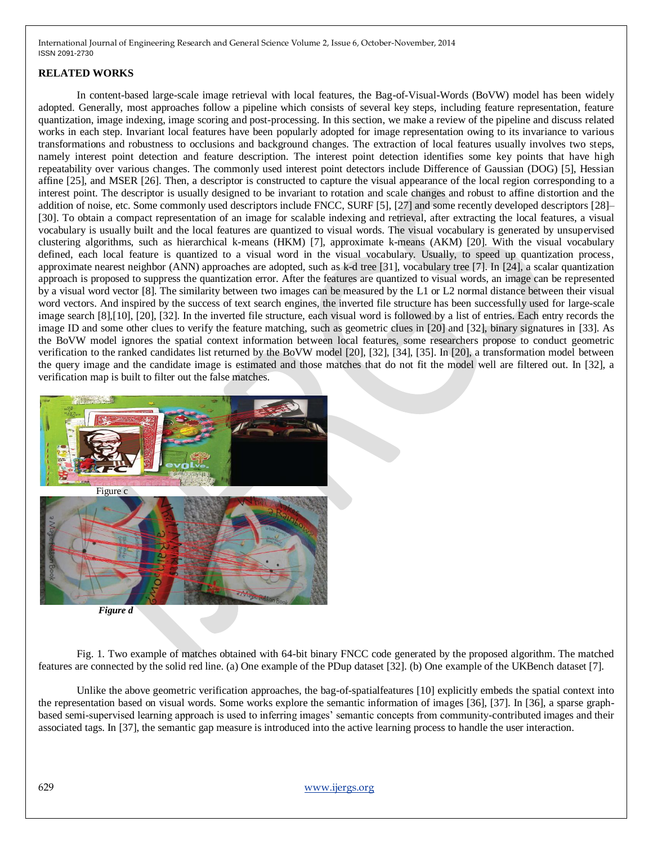## **RELATED WORKS**

In content-based large-scale image retrieval with local features, the Bag-of-Visual-Words (BoVW) model has been widely adopted. Generally, most approaches follow a pipeline which consists of several key steps, including feature representation, feature quantization, image indexing, image scoring and post-processing. In this section, we make a review of the pipeline and discuss related works in each step. Invariant local features have been popularly adopted for image representation owing to its invariance to various transformations and robustness to occlusions and background changes. The extraction of local features usually involves two steps, namely interest point detection and feature description. The interest point detection identifies some key points that have high repeatability over various changes. The commonly used interest point detectors include Difference of Gaussian (DOG) [5], Hessian affine [25], and MSER [26]. Then, a descriptor is constructed to capture the visual appearance of the local region corresponding to a interest point. The descriptor is usually designed to be invariant to rotation and scale changes and robust to affine distortion and the addition of noise, etc. Some commonly used descriptors include FNCC, SURF [5], [27] and some recently developed descriptors [28]– [30]. To obtain a compact representation of an image for scalable indexing and retrieval, after extracting the local features, a visual vocabulary is usually built and the local features are quantized to visual words. The visual vocabulary is generated by unsupervised clustering algorithms, such as hierarchical k-means (HKM) [7], approximate k-means (AKM) [20]. With the visual vocabulary defined, each local feature is quantized to a visual word in the visual vocabulary. Usually, to speed up quantization process, approximate nearest neighbor (ANN) approaches are adopted, such as k-d tree [31], vocabulary tree [7]. In [24], a scalar quantization approach is proposed to suppress the quantization error. After the features are quantized to visual words, an image can be represented by a visual word vector [8]. The similarity between two images can be measured by the L1 or L2 normal distance between their visual word vectors. And inspired by the success of text search engines, the inverted file structure has been successfully used for large-scale image search [8],[10], [20], [32]. In the inverted file structure, each visual word is followed by a list of entries. Each entry records the image ID and some other clues to verify the feature matching, such as geometric clues in [20] and [32], binary signatures in [33]. As the BoVW model ignores the spatial context information between local features, some researchers propose to conduct geometric verification to the ranked candidates list returned by the BoVW model [20], [32], [34], [35]. In [20], a transformation model between the query image and the candidate image is estimated and those matches that do not fit the model well are filtered out. In [32], a verification map is built to filter out the false matches.



 Fig. 1. Two example of matches obtained with 64-bit binary FNCC code generated by the proposed algorithm. The matched features are connected by the solid red line. (a) One example of the PDup dataset [32]. (b) One example of the UKBench dataset [7].

Unlike the above geometric verification approaches, the bag-of-spatialfeatures [10] explicitly embeds the spatial context into the representation based on visual words. Some works explore the semantic information of images [36], [37]. In [36], a sparse graphbased semi-supervised learning approach is used to inferring images' semantic concepts from community-contributed images and their associated tags. In [37], the semantic gap measure is introduced into the active learning process to handle the user interaction.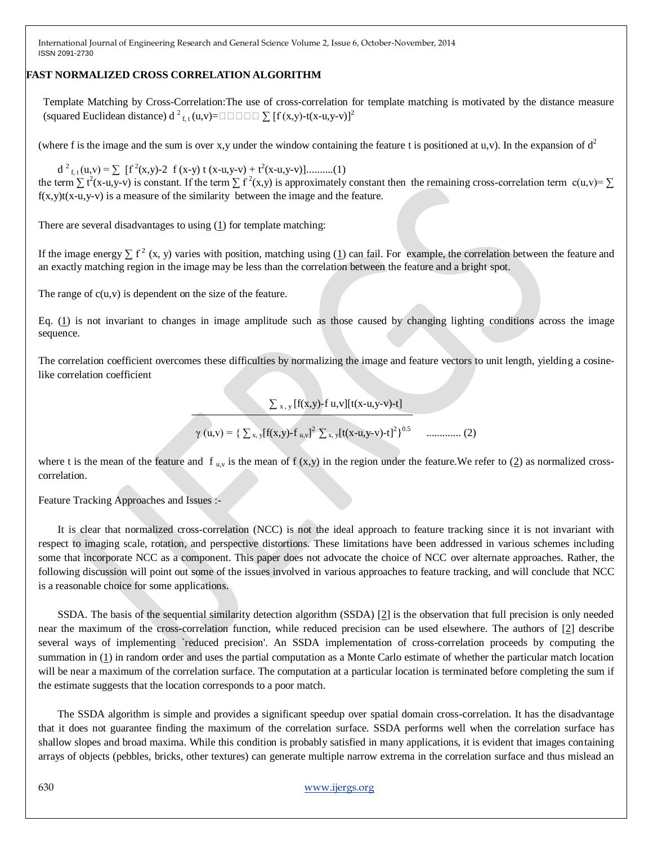## **FAST NORMALIZED CROSS CORRELATION ALGORITHM**

Template Matching by Cross-Correlation:The use of cross-correlation for template matching is motivated by the distance measure (squared Euclidean distance) d <sup>2</sup> f, t (u,v)=∑ [f (x,y)-t(x-u,y-v)]<sup>2</sup>

(where f is the image and the sum is over x,y under the window containing the feature t is positioned at u,v). In the expansion of  $d^2$ 

 $d^{2}_{f,t}(u,v) = \sum [f^{2}(x,y)-2 f(x-y) t (x-u,y-v) + t^{2}(x-u,y-v)]$ ..........(1) the term  $\sum t^2(x-u,y-v)$  is constant. If the term  $\sum t^2(x,y)$  is approximately constant then the remaining cross-correlation term  $c(u,v) = \sum$  $f(x,y)t(x-u,y-v)$  is a measure of the similarity between the image and the feature.

There are several disadvantages to using [\(1\)](http://scribblethink.org/Work/nvisionInterface/nip.html#eql:purecc) for template matching:

If the image energy  $\sum f^2(x, y)$  varies with position, matching using [\(1\)](http://scribblethink.org/Work/nvisionInterface/nip.html#eql:purecc) can fail. For example, the correlation between the feature and an exactly matching region in the image may be less than the correlation between the feature and a bright spot.

The range of  $c(u, v)$  is dependent on the size of the feature.

Eq. [\(1\)](http://scribblethink.org/Work/nvisionInterface/nip.html#eql:purecc) is not invariant to changes in image amplitude such as those caused by changing lighting conditions across the image sequence.

The correlation coefficient overcomes these difficulties by normalizing the image and feature vectors to unit length, yielding a cosinelike correlation coefficient

 $\sum_{x,y} [f(x,y)-f(u,v)][t(x-u,y-v)-t]$ 

γ (u,v) = { ∑ x, y[f(x,y)-f u,v] <sup>2</sup>∑ x, y[t(x-u,y-v)-t]<sup>2</sup> } 0.5 ............. (2)

where t is the mean of the feature and f  $_{u,v}$  is the mean of f (x,y) in the region under the feature. We refer to [\(2\)](http://scribblethink.org/Work/nvisionInterface/nip.html#eq1:normcc) as normalized crosscorrelation.

Feature Tracking Approaches and Issues :-

It is clear that normalized cross-correlation (NCC) is not the ideal approach to feature tracking since it is not invariant with respect to imaging scale, rotation, and perspective distortions. These limitations have been addressed in various schemes including some that incorporate NCC as a component. This paper does not advocate the choice of NCC over alternate approaches. Rather, the following discussion will point out some of the issues involved in various approaches to feature tracking, and will conclude that NCC is a reasonable choice for some applications.

SSDA. The basis of the sequential similarity detection algorithm (SSDA) [\[2\]](http://scribblethink.org/Work/nvisionInterface/nip.html#SSDA) is the observation that full precision is only needed near the maximum of the cross-correlation function, while reduced precision can be used elsewhere. The authors of [\[2\]](http://scribblethink.org/Work/nvisionInterface/nip.html#SSDA) describe several ways of implementing `reduced precision'. An SSDA implementation of cross-correlation proceeds by computing the summation in [\(1\)](http://scribblethink.org/Work/nvisionInterface/nip.html#eql:purecc) in random order and uses the partial computation as a Monte Carlo estimate of whether the particular match location will be near a maximum of the correlation surface. The computation at a particular location is terminated before completing the sum if the estimate suggests that the location corresponds to a poor match.

The SSDA algorithm is simple and provides a significant speedup over spatial domain cross-correlation. It has the disadvantage that it does not guarantee finding the maximum of the correlation surface. SSDA performs well when the correlation surface has shallow slopes and broad maxima. While this condition is probably satisfied in many applications, it is evident that images containing arrays of objects (pebbles, bricks, other textures) can generate multiple narrow extrema in the correlation surface and thus mislead an

## 630 www.ijergs.org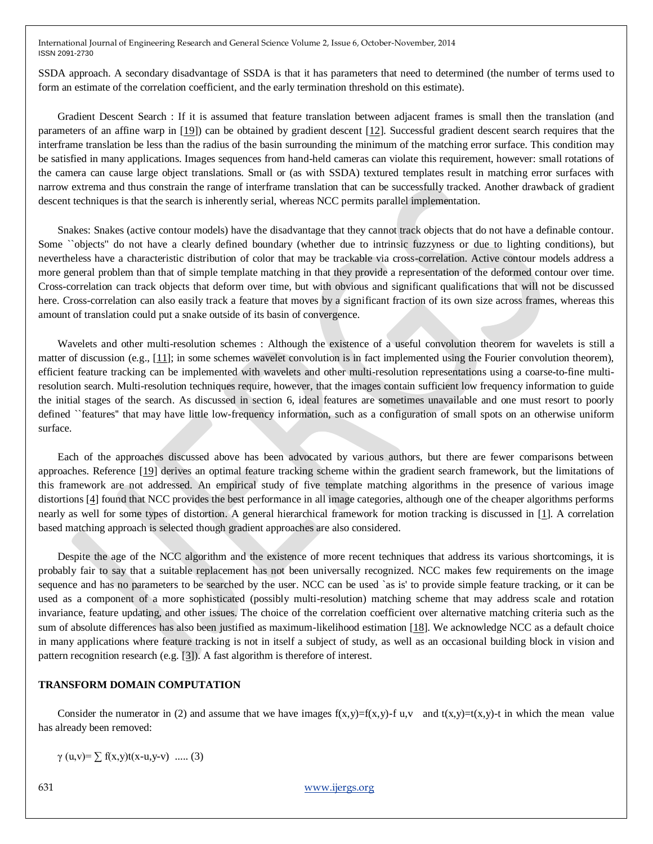SSDA approach. A secondary disadvantage of SSDA is that it has parameters that need to determined (the number of terms used to form an estimate of the correlation coefficient, and the early termination threshold on this estimate).

Gradient Descent Search : If it is assumed that feature translation between adjacent frames is small then the translation (and parameters of an affine warp in [\[19\]](http://scribblethink.org/Work/nvisionInterface/nip.html#SHITOMASI)) can be obtained by gradient descent [\[12\]](http://scribblethink.org/Work/nvisionInterface/nip.html#LUCASKANADE). Successful gradient descent search requires that the interframe translation be less than the radius of the basin surrounding the minimum of the matching error surface. This condition may be satisfied in many applications. Images sequences from hand-held cameras can violate this requirement, however: small rotations of the camera can cause large object translations. Small or (as with SSDA) textured templates result in matching error surfaces with narrow extrema and thus constrain the range of interframe translation that can be successfully tracked. Another drawback of gradient descent techniques is that the search is inherently serial, whereas NCC permits parallel implementation.

Snakes: Snakes (active contour models) have the disadvantage that they cannot track objects that do not have a definable contour. Some ``objects'' do not have a clearly defined boundary (whether due to intrinsic fuzzyness or due to lighting conditions), but nevertheless have a characteristic distribution of color that may be trackable via cross-correlation. Active contour models address a more general problem than that of simple template matching in that they provide a representation of the deformed contour over time. Cross-correlation can track objects that deform over time, but with obvious and significant qualifications that will not be discussed here. Cross-correlation can also easily track a feature that moves by a significant fraction of its own size across frames, whereas this amount of translation could put a snake outside of its basin of convergence.

Wavelets and other multi-resolution schemes : Although the existence of a useful convolution theorem for wavelets is still a matter of discussion (e.g., [\[11\]](http://scribblethink.org/Work/nvisionInterface/nip.html#NOWAVELETCONV); in some schemes wavelet convolution is in fact implemented using the Fourier convolution theorem), efficient feature tracking can be implemented with wavelets and other multi-resolution representations using a coarse-to-fine multiresolution search. Multi-resolution techniques require, however, that the images contain sufficient low frequency information to guide the initial stages of the search. As discussed in section 6, ideal features are sometimes unavailable and one must resort to poorly defined ``features'' that may have little low-frequency information, such as a configuration of small spots on an otherwise uniform surface.

Each of the approaches discussed above has been advocated by various authors, but there are fewer comparisons between approaches. Reference [\[19\]](http://scribblethink.org/Work/nvisionInterface/nip.html#SHITOMASI) derives an optimal feature tracking scheme within the gradient search framework, but the limitations of this framework are not addressed. An empirical study of five template matching algorithms in the presence of various image distortions [\[4\]](http://scribblethink.org/Work/nvisionInterface/nip.html#BURTYENXU) found that NCC provides the best performance in all image categories, although one of the cheaper algorithms performs nearly as well for some types of distortion. A general hierarchical framework for motion tracking is discussed in [\[1\]](http://scribblethink.org/Work/nvisionInterface/nip.html#ANANDAN). A correlation based matching approach is selected though gradient approaches are also considered.

Despite the age of the NCC algorithm and the existence of more recent techniques that address its various shortcomings, it is probably fair to say that a suitable replacement has not been universally recognized. NCC makes few requirements on the image sequence and has no parameters to be searched by the user. NCC can be used `as is' to provide simple feature tracking, or it can be used as a component of a more sophisticated (possibly multi-resolution) matching scheme that may address scale and rotation invariance, feature updating, and other issues. The choice of the correlation coefficient over alternative matching criteria such as the sum of absolute differences has also been justified as maximum-likelihood estimation [\[18\]](http://scribblethink.org/Work/nvisionInterface/nip.html#MLCROSSCOR). We acknowledge NCC as a default choice in many applications where feature tracking is not in itself a subject of study, as well as an occasional building block in vision and pattern recognition research (e.g. [\[3\]](http://scribblethink.org/Work/nvisionInterface/nip.html#RECENT)). A fast algorithm is therefore of interest.

#### **TRANSFORM DOMAIN COMPUTATION**

Consider the numerator in (2) and assume that we have images  $f(x,y)=f(x,y)-f(x,y)-f(x,y)-f(x,y)-f(x,y)-f(x,y)$  in which the mean value has already been removed:

 $γ$  (u,v)=  $\Sigma$  f(x,y)t(x-u,y-v) ..... (3)

631 www.ijergs.org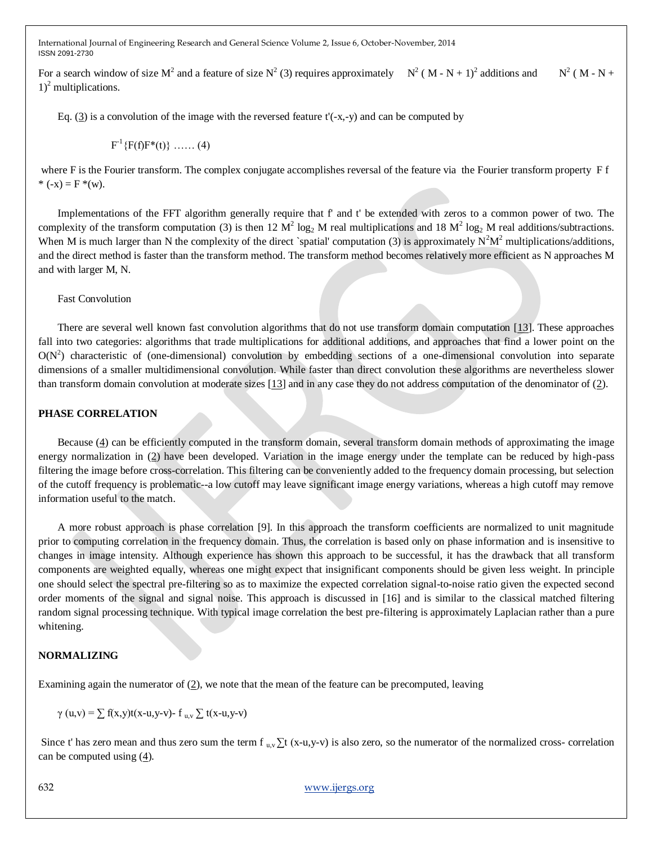For a search window of size  $M^2$  and a feature of size  $N^2$  (3) requires approximately  $N^2 (M - N + 1)^2$  additions and N  $2 (M - N +$  $1)^2$  multiplications.

Eq.  $(3)$  is a convolution of the image with the reversed feature t'(-x,-y) and can be computed by

 $F^{-1}\{F(f)F^*(t)\}\dots(4)$ 

where F is the Fourier transform. The complex conjugate accomplishes reversal of the feature via the Fourier transform property F f \*  $(-x) = F^*(w)$ .

Implementations of the FFT algorithm generally require that f' and t' be extended with zeros to a common power of two. The complexity of the transform computation (3) is then 12  $M^2 \log_2 M$  real multiplications and 18  $M^2 \log_2 M$  real additions/subtractions. When M is much larger than N the complexity of the direct `spatial' computation (3) is approximately  $N^2M^2$  multiplications/additions, and the direct method is faster than the transform method. The transform method becomes relatively more efficient as N approaches M and with larger M, N.

Fast Convolution

There are several well known fast convolution algorithms that do not use transform domain computation [\[13\]](http://scribblethink.org/Work/nvisionInterface/nip.html#DSPHANDBOOK). These approaches fall into two categories: algorithms that trade multiplications for additional additions, and approaches that find a lower point on the  $O(N^2)$  characteristic of (one-dimensional) convolution by embedding sections of a one-dimensional convolution into separate dimensions of a smaller multidimensional convolution. While faster than direct convolution these algorithms are nevertheless slower than transform domain convolution at moderate sizes [\[13\]](http://scribblethink.org/Work/nvisionInterface/nip.html#DSPHANDBOOK) and in any case they do not address computation of the denominator of [\(2\)](http://scribblethink.org/Work/nvisionInterface/nip.html#eq1:normcc).

#### **PHASE CORRELATION**

Because [\(4\)](http://scribblethink.org/Work/nvisionInterface/nip.html#eq3:xform) can be efficiently computed in the transform domain, several transform domain methods of approximating the image energy normalization in [\(2\)](http://scribblethink.org/Work/nvisionInterface/nip.html#eq1:normcc) have been developed. Variation in the image energy under the template can be reduced by high-pass filtering the image before cross-correlation. This filtering can be conveniently added to the frequency domain processing, but selection of the cutoff frequency is problematic--a low cutoff may leave significant image energy variations, whereas a high cutoff may remove information useful to the match.

A more robust approach is phase correlation [9]. In this approach the transform coefficients are normalized to unit magnitude prior to computing correlation in the frequency domain. Thus, the correlation is based only on phase information and is insensitive to changes in image intensity. Although experience has shown this approach to be successful, it has the drawback that all transform components are weighted equally, whereas one might expect that insignificant components should be given less weight. In principle one should select the spectral pre-filtering so as to maximize the expected correlation signal-to-noise ratio given the expected second order moments of the signal and signal noise. This approach is discussed in [16] and is similar to the classical matched filtering random signal processing technique. With typical image correlation the best pre-filtering is approximately Laplacian rather than a pure whitening.

#### **NORMALIZING**

Examining again the numerator of  $(2)$ , we note that the mean of the feature can be precomputed, leaving

 $γ$  (u,v) =  $\Sigma$  f(x,y)t(x-u,y-v)- f <sub>u,v</sub>  $\Sigma$  t(x-u,y-v)

Since t' has zero mean and thus zero sum the term  $f_{u,v} \Sigma t$  (x-u,y-v) is also zero, so the numerator of the normalized cross- correlation can be computed using  $(4)$ .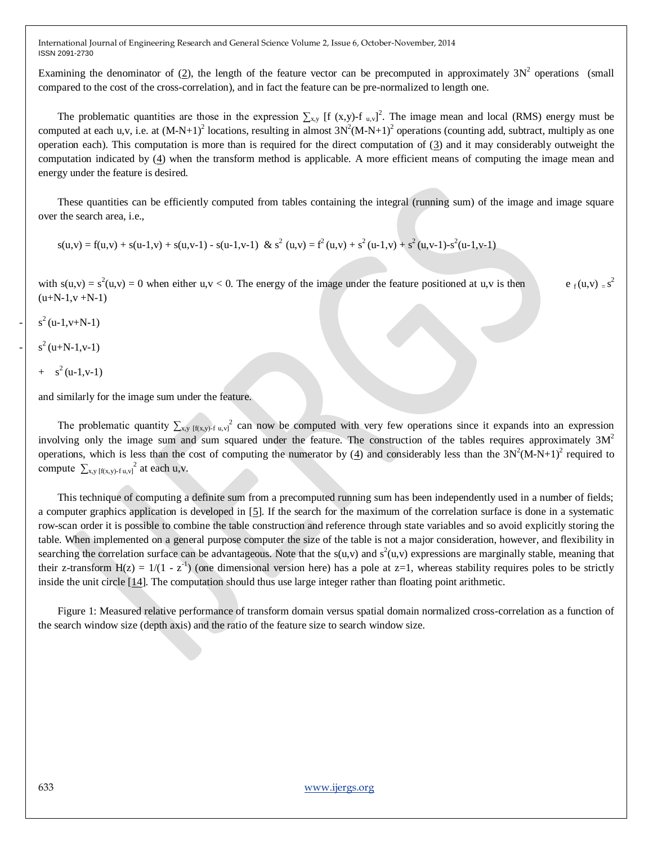Examining the denominator of  $(2)$ , the length of the feature vector can be precomputed in approximately  $3N^2$  operations (small compared to the cost of the cross-correlation), and in fact the feature can be pre-normalized to length one.

The problematic quantities are those in the expression  $\sum_{x,y}$  [f (x,y)-f <sub>u,v</sub>]<sup>2</sup>. The image mean and local (RMS) energy must be computed at each u,v, i.e. at  $(M-N+1)^2$  locations, resulting in almost  $3N^2(M-N+1)^2$  operations (counting add, subtract, multiply as one operation each). This computation is more than is required for the direct computation of [\(3\)](http://scribblethink.org/Work/nvisionInterface/nip.html#eq2:num) and it may considerably outweight the computation indicated by [\(4\)](http://scribblethink.org/Work/nvisionInterface/nip.html#eq3:xform) when the transform method is applicable. A more efficient means of computing the image mean and energy under the feature is desired.

These quantities can be efficiently computed from tables containing the integral (running sum) of the image and image square over the search area, i.e.,

 $s(u, v) = f(u, v) + s(u-1, v) + s(u, v-1) - s(u-1, v-1)$  &  $s^2(u, v) = f^2(u, v) + s^2(u-1, v) + s^2(u, v-1) - s^2(u-1, v-1)$ 

with  $s(u,v) = s^2(u,v) = 0$  when either  $u, v < 0$ . The energy of the image under the feature positioned at  $u, v$  is then e<sub>f</sub>( $u, v$ ) = s  $e_{\epsilon}(u,v) = s^2$  $(u+N-1,v+N-1)$ 

 $s^2$  (u-1,v+N-1)

 $s^2(u+N-1,v-1)$ 

$$
+ s2(u-1,v-1)
$$

and similarly for the image sum under the feature.

The problematic quantity  $\sum_{x,y}$   $f(x,y)$ -f u,v]<sup>2</sup> can now be computed with very few operations since it expands into an expression involving only the image sum and sum squared under the feature. The construction of the tables requires approximately  $3M<sup>2</sup>$ operations, which is less than the cost of computing the numerator by  $(4)$  and considerably less than the  $3N^2(M-N+1)^2$  required to compute  $\sum_{x,y \text{ [f(x,y)-f u,y]}^2}$  at each u,v.

This technique of computing a definite sum from a precomputed running sum has been independently used in a number of fields; a computer graphics application is developed in [\[5\]](http://scribblethink.org/Work/nvisionInterface/nip.html#CROW). If the search for the maximum of the correlation surface is done in a systematic row-scan order it is possible to combine the table construction and reference through state variables and so avoid explicitly storing the table. When implemented on a general purpose computer the size of the table is not a major consideration, however, and flexibility in searching the correlation surface can be advantageous. Note that the  $s(u, v)$  and  $s^2(u, v)$  expressions are marginally stable, meaning that their z-transform  $H(z) = 1/(1 - z^{-1})$  (one dimensional version here) has a pole at z=1, whereas stability requires poles to be strictly inside the unit circle [\[14\]](http://scribblethink.org/Work/nvisionInterface/nip.html#OPPENHEIM). The computation should thus use large integer rather than floating point arithmetic.

Figure 1: Measured relative performance of transform domain versus spatial domain normalized cross-correlation as a function of the search window size (depth axis) and the ratio of the feature size to search window size.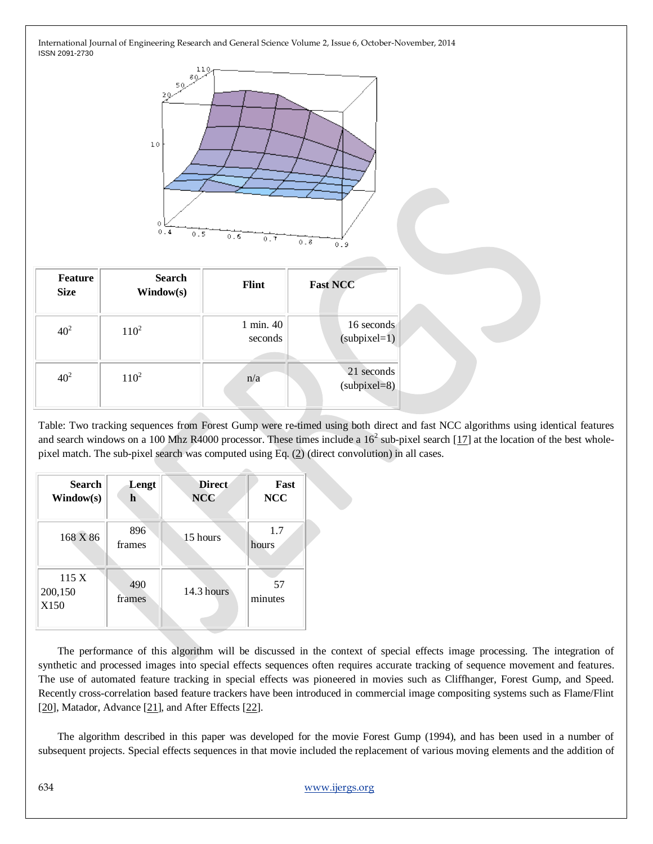

| <b>Feature</b><br><b>Size</b> | <b>Search</b><br>Window(s) | <b>Flint</b>         | <b>Fast NCC</b>              |
|-------------------------------|----------------------------|----------------------|------------------------------|
| 40 <sup>2</sup>               | $110^{2}$                  | 1 min. 40<br>seconds | 16 seconds<br>$(subpixel=1)$ |
| 40 <sup>2</sup>               | $110^{2}$                  | n/a                  | 21 seconds<br>$subpixel=8)$  |

Table: Two tracking sequences from Forest Gump were re-timed using both direct and fast NCC algorithms using identical features and search windows on a 100 Mhz R4000 processor. These times include a  $16^2$  sub-pixel search [\[17\]](http://scribblethink.org/Work/nvisionInterface/nip.html#SUBPIXEL) at the location of the best wholepixel match. The sub-pixel search was computed using Eq. [\(2\)](http://scribblethink.org/Work/nvisionInterface/nip.html#eq1:normcc) (direct convolution) in all cases.

| <b>Search</b><br>Window(s) | Lengt<br>h    | <b>Direct</b><br><b>NCC</b> | Fast<br><b>NCC</b> |
|----------------------------|---------------|-----------------------------|--------------------|
| 168 X 86                   | 896<br>frames | 15 hours                    | 1.7<br>hours       |
| 115 X<br>200,150<br>X150   | 490<br>frames | 14.3 hours                  | 57<br>minutes      |

The performance of this algorithm will be discussed in the context of special effects image processing. The integration of synthetic and processed images into special effects sequences often requires accurate tracking of sequence movement and features. The use of automated feature tracking in special effects was pioneered in movies such as Cliffhanger, Forest Gump, and Speed. Recently cross-correlation based feature trackers have been introduced in commercial image compositing systems such as Flame/Flint [\[20\]](http://scribblethink.org/Work/nvisionInterface/nip.html#FLAME), Matador, Advance [\[21\]](http://scribblethink.org/Work/nvisionInterface/nip.html#ADVANCE), and After Effects [\[22\]](http://scribblethink.org/Work/nvisionInterface/nip.html#AFTEREFFECTS).

The algorithm described in this paper was developed for the movie Forest Gump (1994), and has been used in a number of subsequent projects. Special effects sequences in that movie included the replacement of various moving elements and the addition of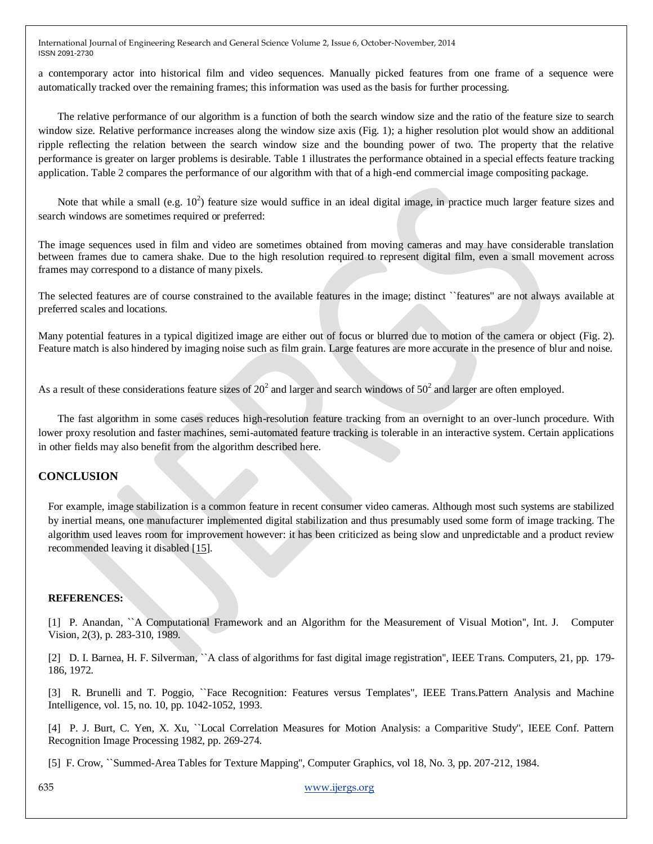a contemporary actor into historical film and video sequences. Manually picked features from one frame of a sequence were automatically tracked over the remaining frames; this information was used as the basis for further processing.

The relative performance of our algorithm is a function of both the search window size and the ratio of the feature size to search window size. Relative performance increases along the window size axis (Fig. 1); a higher resolution plot would show an additional ripple reflecting the relation between the search window size and the bounding power of two. The property that the relative performance is greater on larger problems is desirable. Table 1 illustrates the performance obtained in a special effects feature tracking application. Table 2 compares the performance of our algorithm with that of a high-end commercial image compositing package.

Note that while a small (e.g.  $10^2$ ) feature size would suffice in an ideal digital image, in practice much larger feature sizes and search windows are sometimes required or preferred:

The image sequences used in film and video are sometimes obtained from moving cameras and may have considerable translation between frames due to camera shake. Due to the high resolution required to represent digital film, even a small movement across frames may correspond to a distance of many pixels.

The selected features are of course constrained to the available features in the image; distinct ``features'' are not always available at preferred scales and locations.

Many potential features in a typical digitized image are either out of focus or blurred due to motion of the camera or object (Fig. 2). Feature match is also hindered by imaging noise such as film grain. Large features are more accurate in the presence of blur and noise.

As a result of these considerations feature sizes of  $20^2$  and larger and search windows of  $50^2$  and larger are often employed.

The fast algorithm in some cases reduces high-resolution feature tracking from an overnight to an over-lunch procedure. With lower proxy resolution and faster machines, semi-automated feature tracking is tolerable in an interactive system. Certain applications in other fields may also benefit from the algorithm described here.

## **CONCLUSION**

For example, image stabilization is a common feature in recent consumer video cameras. Although most such systems are stabilized by inertial means, one manufacturer implemented digital stabilization and thus presumably used some form of image tracking. The algorithm used leaves room for improvement however: it has been criticized as being slow and unpredictable and a product review recommended leaving it disabled [\[15\]](http://scribblethink.org/Work/nvisionInterface/nip.html#VIDEOMAKER).

#### **REFERENCES:**

[1] P. Anandan, ``A Computational Framework and an Algorithm for the Measurement of Visual Motion'', Int. J. Computer Vision, 2(3), p. 283-310, 1989.

[2] D. I. Barnea, H. F. Silverman, ``A class of algorithms for fast digital image registration'', IEEE Trans. Computers, 21, pp. 179- 186, 1972.

[3] R. Brunelli and T. Poggio, ``Face Recognition: Features versus Templates", IEEE Trans.Pattern Analysis and Machine Intelligence, vol. 15, no. 10, pp. 1042-1052, 1993.

[4] P. J. Burt, C. Yen, X. Xu, ``Local Correlation Measures for Motion Analysis: a Comparitive Study'', IEEE Conf. Pattern Recognition Image Processing 1982, pp. 269-274.

[5] F. Crow, ``Summed-Area Tables for Texture Mapping'', Computer Graphics, vol 18, No. 3, pp. 207-212, 1984.